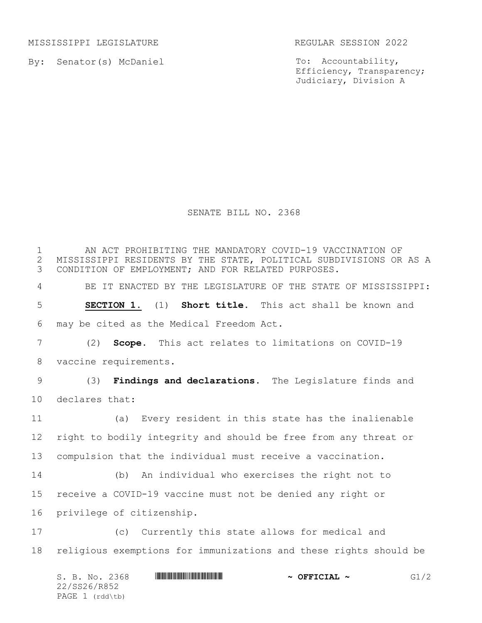MISSISSIPPI LEGISLATURE REGULAR SESSION 2022

By: Senator(s) McDaniel

To: Accountability, Efficiency, Transparency; Judiciary, Division A

## SENATE BILL NO. 2368

 AN ACT PROHIBITING THE MANDATORY COVID-19 VACCINATION OF 2 MISSISSIPPI RESIDENTS BY THE STATE, POLITICAL SUBDIVISIONS OR AS A<br>3 CONDITION OF EMPLOYMENT; AND FOR RELATED PURPOSES. CONDITION OF EMPLOYMENT; AND FOR RELATED PURPOSES. BE IT ENACTED BY THE LEGISLATURE OF THE STATE OF MISSISSIPPI: **SECTION 1.** (1) **Short title.** This act shall be known and may be cited as the Medical Freedom Act. (2) **Scope.** This act relates to limitations on COVID-19 vaccine requirements. (3) **Findings and declarations.** The Legislature finds and declares that: (a) Every resident in this state has the inalienable right to bodily integrity and should be free from any threat or compulsion that the individual must receive a vaccination. (b) An individual who exercises the right not to receive a COVID-19 vaccine must not be denied any right or privilege of citizenship. (c) Currently this state allows for medical and religious exemptions for immunizations and these rights should be

S. B. No. 2368 \*SS26/R852\* **~ OFFICIAL ~** G1/2 22/SS26/R852 PAGE (rdd\tb)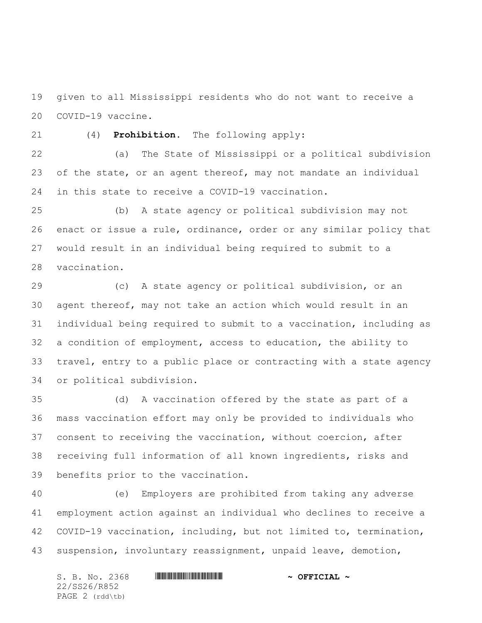given to all Mississippi residents who do not want to receive a COVID-19 vaccine.

(4) **Prohibition.** The following apply:

 (a) The State of Mississippi or a political subdivision 23 of the state, or an agent thereof, may not mandate an individual in this state to receive a COVID-19 vaccination.

 (b) A state agency or political subdivision may not enact or issue a rule, ordinance, order or any similar policy that would result in an individual being required to submit to a vaccination.

 (c) A state agency or political subdivision, or an agent thereof, may not take an action which would result in an individual being required to submit to a vaccination, including as a condition of employment, access to education, the ability to travel, entry to a public place or contracting with a state agency or political subdivision.

 (d) A vaccination offered by the state as part of a mass vaccination effort may only be provided to individuals who consent to receiving the vaccination, without coercion, after receiving full information of all known ingredients, risks and benefits prior to the vaccination.

 (e) Employers are prohibited from taking any adverse employment action against an individual who declines to receive a COVID-19 vaccination, including, but not limited to, termination, suspension, involuntary reassignment, unpaid leave, demotion,

S. B. No. 2368 \*SS26/R852\* **~ OFFICIAL ~** 22/SS26/R852 PAGE 2 (rdd\tb)